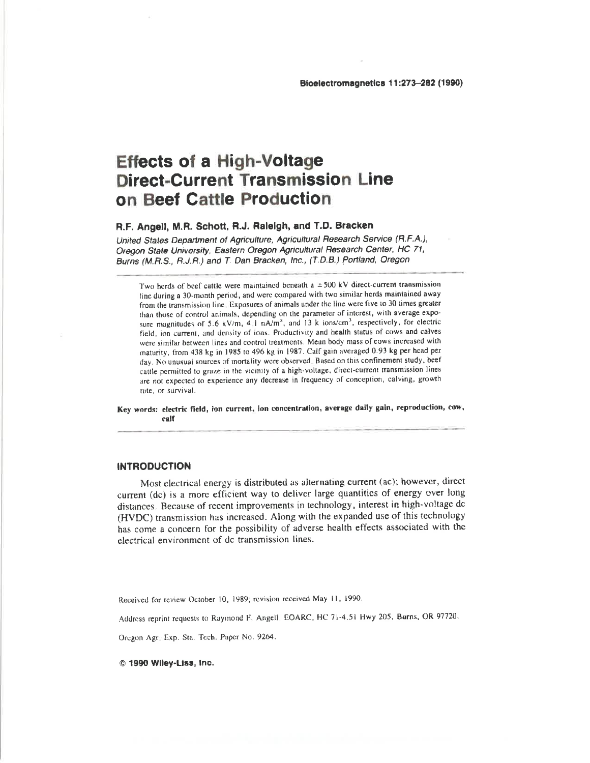# **Effects of a High-Voltage Direct-Current Transmission Line** on Beef Cattle Production

# R.F. Angell, M.R. Schott, R.J. Raleigh, and T.D. Bracken

United States Department of Agriculture, Agricultural Research Service (R.F.A.), Oregon State University, Eastern Oregon Agricultural Research Center, HC 71, Burns (M.R.S., R.J.R.) and T. Dan Bracken, Inc., (T.D.B.) Portland, Oregon

Two herds of beef cattle were maintained beneath a  $\pm 500$  kV direct-current transmission line during a 30-month period, and were compared with two similar herds maintained away from the transmission line. Exposures of animals under the line were five to 30 times greater than those of control animals, depending on the parameter of interest, with average exposure magnitudes of 5.6 kV/m,  $4\pm$  nA/m<sup>2</sup>, and 13 k ions/cm<sup>3</sup>, respectively, for electric field, ion current, and density of ions. Productivity and health status of cows and calves were similar between lines and control treatments. Mean body mass of cows increased with maturity, from 438 kg in 1985 to 496 kg in 1987. Calf gain averaged 0.93 kg per head per day. No unusual sources of mortality were observed. Based on this confinement study, beef cattle permitted to graze in the vicinity of a high-voltage, direct-current transmission lines are not expected to experience any decrease in frequency of conception, calving, growth rate, or survival.

Key words: electric field, ion current, ion concentration, average daily gain, reproduction, cow, calf

# **INTRODUCTION**

Most electrical energy is distributed as alternating current (ac); however, direct current (dc) is a more efficient way to deliver large quantities of energy over long distances. Because of recent improvements in technology, interest in high-voltage dc (HVDC) transmission has increased. Along with the expanded use of this technology has come a concern for the possibility of adverse health effects associated with the electrical environment of dc transmission lines.

Received for review October 10, 1989; revision received May 11, 1990.

Address reprint requests to Raymond F. Angell, EOARC, HC 71-4.51 Hwy 205, Burns, OR 97720.

Oregon Agril Exp. Sta. Tech. Paper No. 9264.

© 1990 Wiley-Liss, Inc.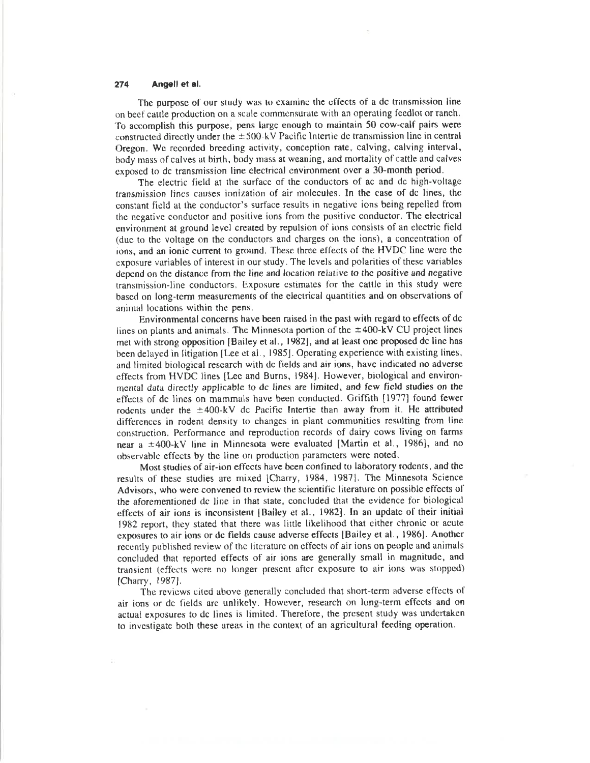The purpose of our study was to examine the effects of a dc transmission line on beef cattle production on a scale commensurate with an operating feedlot or ranch. To accomplish this purpose, pens large enough to maintain 50 cow-calf pairs were constructed directly under the  $\pm 500$ -kV Pacific Intertie dc transmission line in central Oregon. We recorded breeding activity, conception rate, calving, calving interval, body mass of calves at birth, body mass at weaning, and mortality of cattle and calves exposed to dc transmission line electrical environment over a 30-month period.

The electric field at the surface of the conductors of ac and dc high-voltage transmission lines causes ionization of air molecules. In the case of dc lines, the constant field at the conductor's surface results in negative ions being repelled from the negative conductor and positive ions from the positive conductor. The electrical environment at ground level created by repulsion of ions consists of an electric field (due to the voltage on the conductors and charges on the ions), a concentration of ions, and an ionic current to ground. These three effects of the HVDC line were the exposure variables of interest in our study. The levels and polarities of these variables depend on the distance from the line and location relative to the positive and negative transmission-line conductors. Exposure estimates for the cattle in this study were based on long-term measurements of the electrical quantities and on observations of animal locations within the pens.

Environmental concerns have been raised in the past with regard to effects of dc lines on plants and animals. The Minnesota portion of the  $\pm$ 400-kV CU project lines met with strong opposition [Bailey et al., 1982], and at least one proposed dc line has been delayed in litigation [Lee et al., 1985]. Operating experience with existing lines, and limited biological research with de fields and air ions, have indicated no adverse effects from HVDC lines [Lee and Burns, 1984]. However, biological and environmental data directly applicable to dc lines are limited, and few field studies on the effects of dc lines on mammals have been conducted. Griffith [1977] found fewer rodents under the  $\pm 400$ -kV dc Pacific Intertie than away from it. He attributed differences in rodent density to changes in plant communities resulting from line construction. Performance and reproduction records of dairy cows living on farms near a ±400-kV line in Minnesota were evaluated [Martin et al., 1986], and no observable effects by the line on production parameters were noted.

Most studies of air-ion effects have been confined to laboratory rodents, and the results of these studies are mixed [Charry, 1984, 1987]. The Minnesota Science Advisors, who were convened to review the scientific literature on possible effects of the aforementioned dc line in that state, concluded that the evidence for biological effects of air ions is inconsistent (Bailey et al., 1982). In an update of their initial 1982 report, they stated that there was little likelihood that either chronic or acute exposures to air ions or de fields cause adverse effects [Bailey et al., 1986]. Another recently published review of the literature on effects of air ions on people and animals concluded that reported effects of air ions are generally small in magnitude, and transient (effects were no longer present after exposure to air ions was stopped) [Charry, 1987].

The reviews cited above generally concluded that short-term adverse effects of air ions or de fields are unlikely. However, research on long-term effects and on actual exposures to dc lines is limited. Therefore, the present study was undertaken to investigate both these areas in the context of an agricultural feeding operation.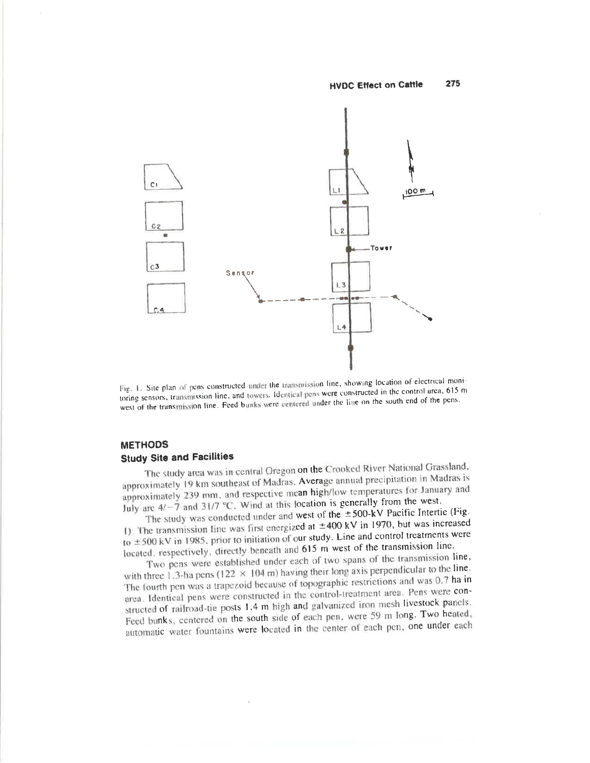

Fig. 1. Site plan of pens constructed under the transmission line, showing location of electrical monitoring sensors, transmission line, and towers. Identical pens were constructed in the control area, 615 m west of the transmission line. Feed bunks were centered under the line on the south end of the pens.

# **METHODS Study Site and Facilities**

The study area was in central Oregon on the Crooked River National Grassland, approximately 19 km southeast of Madras. Average annual precipitation in Madras is approximately 239 mm, and respective mean high/low temperatures for January and July are  $4/-7$  and 31/7 °C. Wind at this location is generally from the west.

The study was conducted under and west of the  $\pm$ 500-kV Pacific Intertie (Fig. 1). The transmission line was first energized at  $\pm 400$  kV in 1970, but was increased to  $\pm$  500 kV in 1985, prior to initiation of our study. Line and control treatments were located, respectively, directly beneath and 615 m west of the transmission line.

Two pens were established under each of two spans of the transmission line, with three 1.3-ha pens (122  $\times$  104 m) having their long axis perpendicular to the line. The fourth pen was a trapezoid because of topographic restrictions and was 0.7 ha in area. Identical pens were constructed in the control-treatment area. Pens were constructed of railroad-tie posts 1.4 m high and galvanized iron mesh livestock panels. Feed bunks, centered on the south side of each pen, were 59 m long. Two heated, automatic water fountains were located in the center of each pen, one under each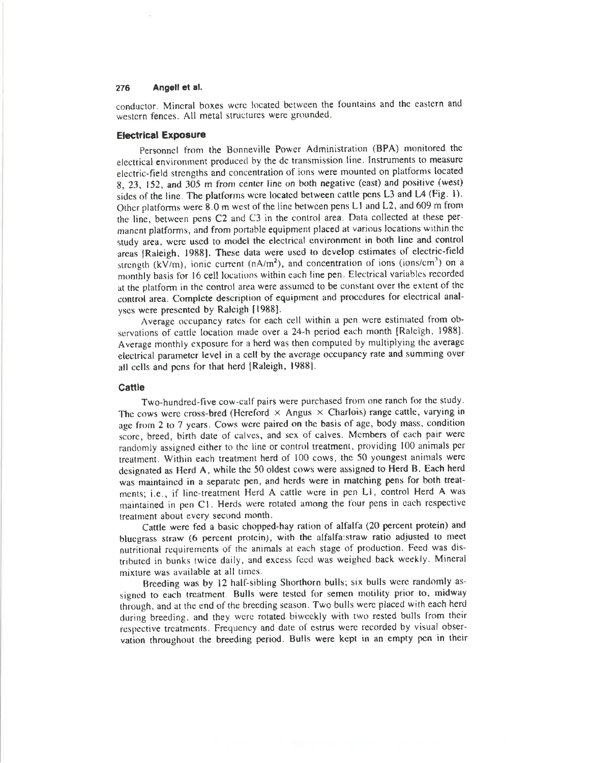conductor. Mineral boxes were located between the fountains and the eastern and western fences. All metal structures were grounded.

# **Electrical Exposure**

Personnel from the Bonneville Power Administration (BPA) monitored the electrical environment produced by the dc transmission line. Instruments to measure electric-field strengths and concentration of ions were mounted on platforms located 8, 23, 152, and 305 m from center line on both negative (cast) and positive (west) sides of the line. The platforms were located between cattle pens L3 and L4 (Fig. 1). Other platforms were 8.0 m west of the line between pens L1 and L2, and 609 m from the line, between pens C2 and C3 in the control area. Data collected at these permanent platforms, and from portable equipment placed at various locations within the study area, were used to model the electrical environment in both line and control areas [Raleigh, 1988]. These data were used to develop estimates of electric-field strength  $(kV/m)$ , ionic current (nA/m<sup>2</sup>), and concentration of ions (ions/cm<sup>3</sup>) on a monthly basis for 16 cell locations within each line pen. Electrical variables recorded at the platform in the control area were assumed to be constant over the extent of the control area. Complete description of equipment and procedures for electrical analyses were presented by Raleigh [1988].

Average occupancy rates for each cell within a pen were estimated from observations of cattle location made over a 24-h period each month [Raleigh, 1988]. Average monthly exposure for a herd was then computed by multiplying the average electrical parameter level in a cell by the average occupancy rate and summing over all cells and pens for that herd [Raleigh, 1988].

# Cattle

Two-hundred-five cow-calf pairs were purchased from one ranch for the study. The cows were cross-bred (Hereford  $\times$  Angus  $\times$  Charlois) range cattle, varying in age from 2 to 7 years. Cows were paired on the basis of age, body mass, condition score, breed, birth date of calves, and sex of calves. Members of each pair were randomly assigned either to the line or control treatment, providing 100 animals per treatment. Within each treatment herd of 100 cows, the 50 youngest animals were designated as Herd A, while the 50 oldest cows were assigned to Herd B. Each herd was maintained in a separate pen, and herds were in matching pens for both treatments; i.e., if line-treatment Herd A cattle were in pen L1, control Herd A was maintained in pen C1. Herds were rotated among the four pens in each respective treatment about every second month.

Cattle were fed a basic chopped-hay ration of alfalfa (20 percent protein) and bluegrass straw (6 percent protein), with the alfalfa:straw ratio adjusted to meet nutritional requirements of the animals at each stage of production. Feed was distributed in bunks twice daily, and excess feed was weighed back weekly. Mineral mixture was available at all times.

Breeding was by 12 half-sibling Shorthorn bulls; six bulls were randomly assigned to each treatment. Bulls were tested for semen motility prior to, midway through, and at the end of the breeding season. Two bulls were placed with each herd during breeding, and they were rotated biweekly with two rested bulls from their respective treatments. Frequency and date of estrus were recorded by visual observation throughout the breeding period. Bulls were kept in an empty pen in their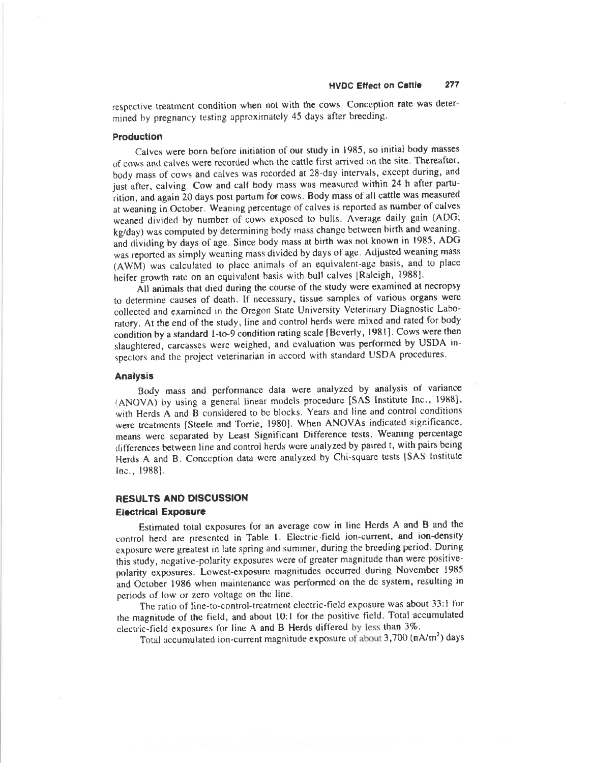respective treatment condition when not with the cows. Conception rate was determined by pregnancy testing approximately 45 days after breeding.

# Production

Calves were born before initiation of our study in 1985, so initial body masses of cows and calves were recorded when the cattle first arrived on the site. Thereafter, body mass of cows and calves was recorded at 28-day intervals, except during, and just after, calving. Cow and calf body mass was measured within 24 h after parturition, and again 20 days post partum for cows. Body mass of all cattle was measured at weaning in October. Weaning percentage of calves is reported as number of calves weaned divided by number of cows exposed to bulls. Average daily gain (ADG; kg/day) was computed by determining body mass change between birth and weaning, and dividing by days of age. Since body mass at birth was not known in 1985, ADG was reported as simply weaning mass divided by days of age. Adjusted weaning mass (AWM) was calculated to place animals of an equivalent-age basis, and to place heifer growth rate on an equivalent basis with bull calves [Raleigh, 1988].

All animals that died during the course of the study were examined at necropsy to determine causes of death. If necessary, tissue samples of various organs were collected and examined in the Oregon State University Veterinary Diagnostic Laboratory. At the end of the study, line and control herds were mixed and rated for body condition by a standard 1-to-9 condition rating scale [Beverly, 1981]. Cows were then slaughtered, carcasses were weighed, and evaluation was performed by USDA inspectors and the project veterinarian in accord with standard USDA procedures.

# **Analysis**

Body mass and performance data were analyzed by analysis of variance (ANOVA) by using a general linear models procedure [SAS Institute Inc., 1988], with Herds A and B considered to be blocks. Years and line and control conditions were treatments {Steele and Torrie, 1980}. When ANOVAs indicated significance, means were separated by Least Significant Difference tests. Weaning percentage differences between line and control herds were analyzed by paired t, with pairs being Herds A and B. Conception data were analyzed by Chi-square tests [SAS Institute Inc., 1988].

# RESULTS AND DISCUSSION **Electrical Exposure**

Estimated total exposures for an average cow in line Herds A and B and the control herd are presented in Table 1. Electric-field ion-current, and ion-density exposure were greatest in late spring and summer, during the breeding period. During this study, negative-polarity exposures were of greater magnitude than were positivepolarity exposures. Lowest-exposure magnitudes occurred during November 1985 and October 1986 when maintenance was performed on the dc system, resulting in periods of low or zero voltage on the line.

The ratio of line-to-control-treatment electric-field exposure was about 33:1 for the magnitude of the field, and about 10:1 for the positive field. Total accumulated electric-field exposures for line A and B Herds differed by less than 3%.

Total accumulated ion-current magnitude exposure of about 3,700 (nA/m<sup>2</sup>) days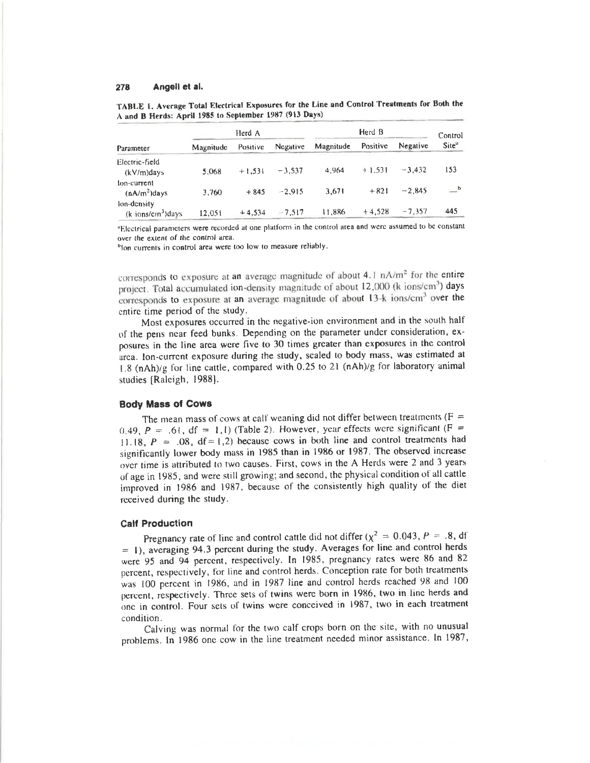| A and B Herds: April 1985 to September 1987 (913 Days) | TABLE 1. Average Total Electrical Exposures for the Line and Control Treatments for Both the |      |
|--------------------------------------------------------|----------------------------------------------------------------------------------------------|------|
| Herd A                                                 | Herd B                                                                                       | $-1$ |

|                                                          | Herd A    |          |          |           | Control  |          |                   |
|----------------------------------------------------------|-----------|----------|----------|-----------|----------|----------|-------------------|
| Parameter                                                | Magnitude | Positive | Negative | Magnitude | Positive | Negative | Site <sup>u</sup> |
| Electric-field<br>$(kV/m)$ days                          | 5.068     | $+1.531$ | $-3.537$ | 4.964     | $+1.531$ | $-3.432$ | 153               |
| $10n$ -current<br>$(nA/m2)$ days                         | 3,760     | $+845$   | $-2.915$ | 3.671     | $+821$   | $-2.845$ | b                 |
| fon-density<br>$\frac{1}{k}$ ions/cm <sup>3</sup> ) days | 12.051    | $+4,534$ | $-7,517$ | 11.886    | $+4,528$ | $-7,357$ | 445               |

<sup>a</sup>Electrical parameters were recorded at one platform in the control area and were assumed to be constant over the extent of the control area.

blon currents in control area were too low to measure reliably.

corresponds to exposure at an average magnitude of about 4.1 nA/m<sup>2</sup> for the entire project. Total accumulated ion-density magnitude of about 12,000 (k ions/cm<sup>3</sup>) days corresponds to exposure at an average magnitude of about 13-k ions/cm<sup>3</sup> over the entire time period of the study.

Most exposures occurred in the negative-ion environment and in the south half of the pens near feed bunks. Depending on the parameter under consideration, exposures in the line area were five to 30 times greater than exposures in the control area. Ion-current exposure during the study, scaled to body mass, was estimated at 1.8 (nAh)/g for line cattle, compared with 0.25 to 21 (nAh)/g for laboratory animal studies [Raleigh, 1988].

### **Body Mass of Cows**

The mean mass of cows at calf weaning did not differ between treatments ( $F =$ 0.49,  $P = .61$ , df = 1,1) (Table 2). However, year effects were significant (F = 11.18,  $P = .08$ ,  $df = 1,2$ ) because cows in both line and control treatments had significantly lower body mass in 1985 than in 1986 or 1987. The observed increase over time is attributed to two causes. First, cows in the A Herds were 2 and 3 years of age in 1985, and were still growing; and second, the physical condition of all cattle improved in 1986 and 1987, because of the consistently high quality of the diet received during the study.

# **Calf Production**

Pregnancy rate of line and control cattle did not differ ( $\chi^2 = 0.043$ ,  $P = .8$ , df  $=$  1), averaging 94.3 percent during the study. Averages for line and control herds were 95 and 94 percent, respectively. In 1985, pregnancy rates were 86 and 82 percent, respectively, for line and control herds. Conception rate for both treatments was 100 percent in 1986, and in 1987 line and control herds reached 98 and 100 percent, respectively. Three sets of twins were born in 1986, two in line herds and one in control. Four sets of twins were conceived in 1987, two in each treatment condition.

Calving was normal for the two calf crops born on the site, with no unusual problems. In 1986 one cow in the line treatment needed minor assistance. In 1987,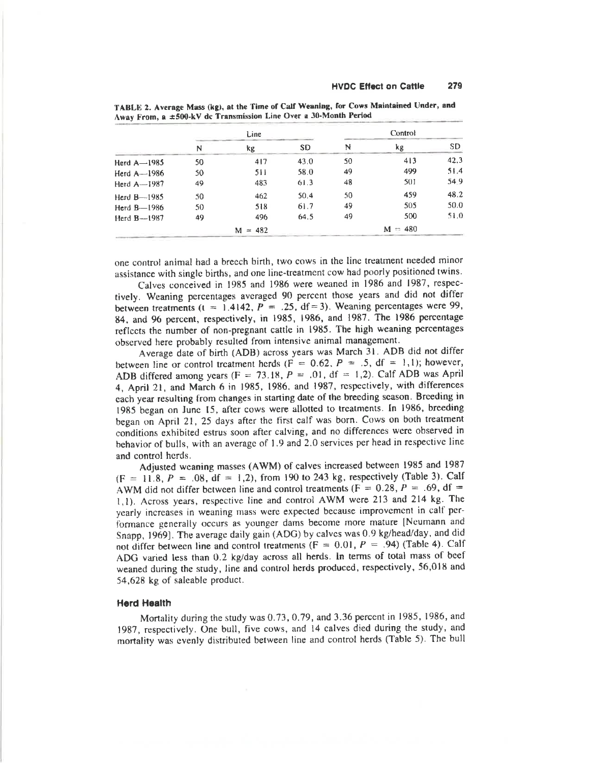|                 | Line. |              | Control   |    |              |           |
|-----------------|-------|--------------|-----------|----|--------------|-----------|
|                 | N     | kg           | <b>SD</b> | N  | kg           | <b>SD</b> |
| Herd $A - 1985$ | 50    | 417          | 43.0      | 50 | 413          | 42.3      |
| Herd $A - 1986$ | 50    | 511          | 58.0      | 49 | 499          | 51.4      |
| Herd $A - 1987$ | 49    | 483          | 61.3      | 48 | 501          | 54.9      |
| Herd $B$ --1985 | 50    | 462          | 50.4      | 50 | 459          | 48.2      |
| Herd $B-1986$   | 50    | 518          | 61.7      | 49 | 505          | 50.0      |
| Herd $B-1987$   | 49    | 496          | 64.5      | 49 | 500          | 51.0      |
|                 |       | $= 482$<br>м |           |    | $= 480$<br>м |           |

TABLE 2. Average Mass (kg), at the Time of Calf Weaning, for Cows Maintained Under, and Away From, a ±500-kV dc Transmission Line Over a 30-Month Period

one control animal had a breech birth, two cows in the line treatment needed minor assistance with single births, and one line-treatment cow had poorly positioned twins.

Calves conceived in 1985 and 1986 were weaned in 1986 and 1987, respectively. Weaning percentages averaged 90 percent those years and did not differ between treatments ( $t = 1.4142$ ,  $P = .25$ , df = 3). Weaning percentages were 99, 84, and 96 percent, respectively, in 1985, 1986, and 1987. The 1986 percentage reflects the number of non-pregnant cattle in 1985. The high weaning percentages observed here probably resulted from intensive animal management.

Average date of birth (ADB) across years was March 31. ADB did not differ between line or control treatment herds ( $F = 0.62$ ,  $P = .5$ , df = 1,1); however, ADB differed among years (F = 73.18, P = .01, df = 1,2). Calf ADB was April 4, April 21, and March 6 in 1985, 1986, and 1987, respectively, with differences each year resulting from changes in starting date of the breeding season. Breeding in 1985 began on June 15, after cows were allotted to treatments. In 1986, breeding began on April 21, 25 days after the first calf was born. Cows on both treatment conditions exhibited estrus soon after calving, and no differences were observed in behavior of bulls, with an average of 1.9 and 2.0 services per head in respective line and control herds.

Adjusted weaning masses (AWM) of calves increased between 1985 and 1987  $(F = 11.8, P = .08, df = 1,2)$ , from 190 to 243 kg, respectively (Table 3). Calf AWM did not differ between line and control treatments (F = 0.28, P = .69, df = 1,1). Across years, respective line and control AWM were 213 and 214 kg. The yearly increases in weaning mass were expected because improvement in calf performance generally occurs as younger dams become more mature [Neumann and Snapp, 1969]. The average daily gain (ADG) by calves was 0.9 kg/head/day, and did not differ between line and control treatments ( $F = 0.01$ ,  $P = 0.94$ ) (Table 4). Calf ADG varied less than 0.2 kg/day across all herds. In terms of total mass of beef weaned during the study, line and control herds produced, respectively, 56,018 and 54,628 kg of saleable product.

# **Herd Health**

Mortality during the study was 0.73, 0.79, and 3.36 percent in 1985, 1986, and 1987, respectively. One bull, five cows, and 14 calves died during the study, and mortality was evenly distributed between line and control herds (Table 5). The bull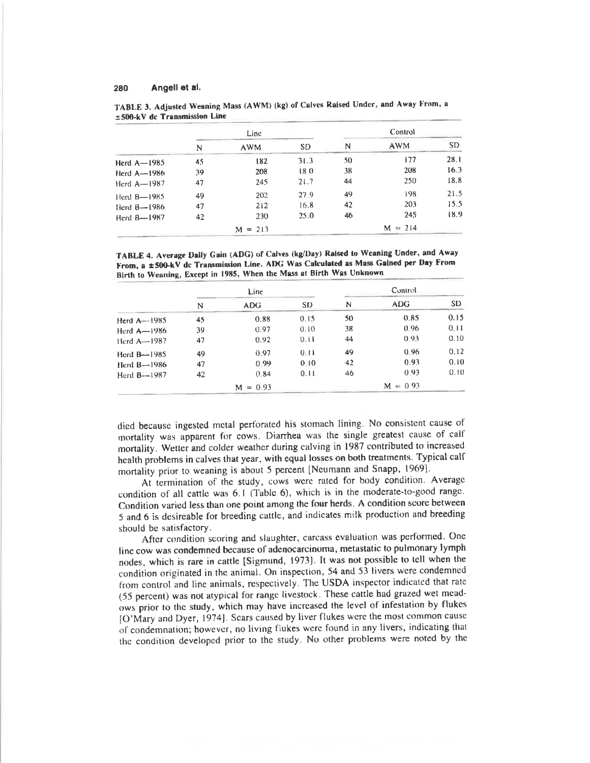|                         | Line |            | Control   |    |            |      |
|-------------------------|------|------------|-----------|----|------------|------|
|                         | N    | <b>AWM</b> | <b>SD</b> | N  | <b>AWM</b> | SD   |
| Herd $A - 1985$         | 45   | 182        | 3(0.3)    | 50 | 177        | 28.1 |
| Herd $A - 1986$         | 39   | 208        | 18.0      | 38 | 208        | 16.3 |
| Herd $A-1987$           | 47   | 245        | 21.7      | 44 | 250        | 18.8 |
| Herd $B$ -1985          | 49   | 202        | 27.9      | 49 | 198        | 21.5 |
| $\text{Herd } B - 1986$ | 47   | 212        | 16.8      | 42 | 203        | 15.5 |
| Herd B-1987             | 42   | 230        | 25.0      | 46 | 245        | 18.9 |
|                         |      | $M = 213$  |           |    | $M = 214$  |      |

TABLE 3. Adjusted Weaning Mass (AWM) (kg) of Calves Raised Under, and Away From, a ±500-kV dc Transmission Line

TABLE 4. Average Daily Gain (ADG) of Calves (kg/Day) Raised to Weaning Under, and Away From, a ±500-kV dc Transmission Line. ADG Was Calculated as Mass Galned per Day From Birth to Weaning, Except in 1985, When the Mass at Birth Was Unknown

|                 | <b>Line</b> |               |           | <b>Control</b> |            |           |  |
|-----------------|-------------|---------------|-----------|----------------|------------|-----------|--|
|                 | N           | ADG.          | <b>SD</b> | N              | <b>ADG</b> | <b>SD</b> |  |
| Herd $A$ --1985 | 45          | 0.88          | 0.15      | 50             | 0.85       | 0.15      |  |
| Herd $A$ -1986  | 39          | 0.97          | 0.10      | 38             | 0.96       | 0.11      |  |
| Herd $A-1987$   | 47          | 0.92          | 0.11      | 44             | 0.93       | 0.10      |  |
| Herd $B$ -1985  | 49          | 0.97          | 0.11      | 49             | 0.96       | 0.12      |  |
| Herd $B$ -1986  | 47          | 0.99          | 0.10      | 42             | 0.93       | 0.10      |  |
| Herd B-1987     | 42          | 0.84          | 0.11      | 46             | 0.93       | 0.10      |  |
|                 |             | $= 0.93$<br>м |           |                | $M = 0.93$ |           |  |

died because ingested metal perforated his stomach lining. No consistent cause of mortality was apparent for cows. Diarrhea was the single greatest cause of calf mortality. Wetter and colder weather during calving in 1987 contributed to increased health problems in calves that year, with equal losses on both treatments. Typical calf mortality prior to weaning is about 5 percent [Neumann and Snapp, 1969].

At termination of the study, cows were rated for body condition. Average condition of all cattle was 6.1 (Table 6), which is in the moderate-to-good range. Condition varied less than one point among the four herds. A condition score between 5 and 6 is desireable for breeding cattle, and indicates milk production and breeding should be satisfactory.

After condition scoring and slaughter, carcass evaluation was performed. One line cow was condemned because of adenocarcinoma, metastatic to pulmonary lymph nodes, which is rare in cattle [Sigmund, 1973]. It was not possible to tell when the condition originated in the animal. On inspection, 54 and 53 livers were condemned from control and line animals, respectively. The USDA inspector indicated that rate (55 percent) was not atypical for range livestock. These cattle had grazed wet meadows prior to the study, which may have increased the level of infestation by flukes [O'Mary and Dyer, 1974]. Scars caused by liver flukes were the most common cause of condemnation; however, no living flukes were found in any livers, indicating that the condition developed prior to the study. No other problems were noted by the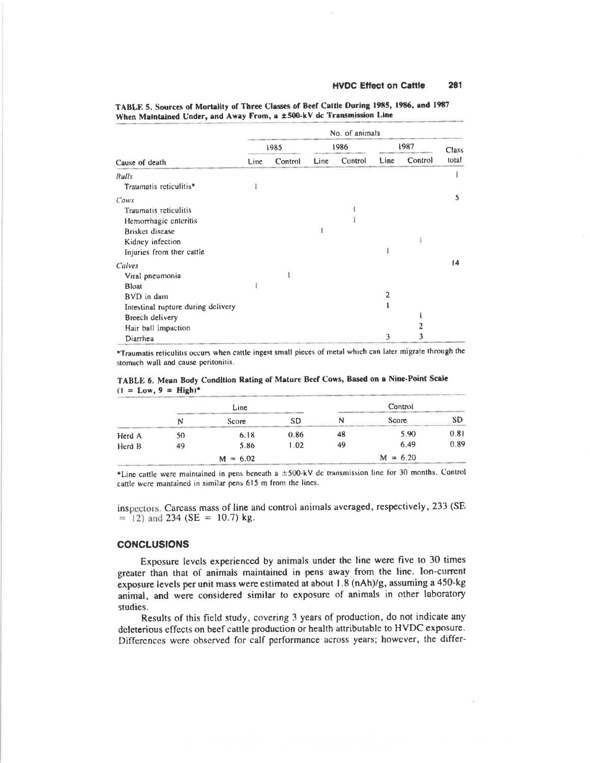|                                    | No. of animals |         |       |         |      |         |       |
|------------------------------------|----------------|---------|-------|---------|------|---------|-------|
|                                    | 1985           |         | 1986  |         | 1987 |         | Class |
| Cause of death                     | Line           | Control | Line. | Control | Line | Control | total |
| <b>Bulls</b>                       |                |         |       |         |      |         |       |
| Traumatis reticulitis*             |                |         |       |         |      |         |       |
| Cows                               |                |         |       |         |      |         | 5     |
| Traumatis reticulitis              |                |         |       |         |      |         |       |
| Hemorrhagic enteritis              |                |         |       |         |      |         |       |
| Brisket disease                    |                |         |       |         |      |         |       |
| Kidney infection                   |                |         |       |         |      |         |       |
| Injuries from ther cattle          |                |         |       |         |      |         |       |
| Calves                             |                |         |       |         |      |         | 14    |
| Viral pneumonia                    |                | T.      |       |         |      |         |       |
| Bloat                              |                |         |       |         |      |         |       |
| BVD in dam                         |                |         |       |         | 2    |         |       |
| Intestinal rupture during delivery |                |         |       |         |      |         |       |
| Breech delivery                    |                |         |       |         |      |         |       |
| Hair ball impaction                |                |         |       |         |      |         |       |
| Diarrhea                           |                |         |       |         | 3    | 3       |       |

TABLE 5. Sources of Mortality of Three Classes of Beef Cattle During 1985, 1986, and 1987 When Maintained Under, and Away From, a ±500-kV dc Transmission Line

\*Traumatis reticulitis occurs when cattle ingest small pieces of metal which can later migrate through the stomach wall and cause peritonitis.

|        |    | Line       |      |    | Control    |           |  |
|--------|----|------------|------|----|------------|-----------|--|
|        | N  | Score      | SD   | N  | Score      | <b>SD</b> |  |
| Herd A | 50 | 6.18       | 0.86 | 48 | 5.90       | 0.81      |  |
| Herd B | 49 | 5.86       | 1.02 | 49 | 6.49       | 0.89      |  |
|        |    | $M = 6.02$ |      |    | $M = 6.20$ |           |  |

TABLE 6. Mean Body Condition Rating of Mature Beef Cows, Based on a Nine-Point Scale  $(1 = Low, 9 = High)^*$ 

\*Line cattle were maintained in pens beneath a ±500-kV dc transmission line for 30 months. Control cattle were mantained in similar pens 615 m from the lines.

inspectors. Carcass mass of line and control animals averaged, respectively, 233 (SE  $=$  (12) and 234 (SE = 10.7) kg.

# **CONCLUSIONS**

Exposure levels experienced by animals under the line were five to 30 times greater than that of animals maintained in pens away from the line. Ion-current exposure levels per unit mass were estimated at about 1.8 (nAh)/g, assuming a 450-kg animal, and were considered similar to exposure of animals in other laboratory studies.

Results of this field study, covering 3 years of production, do not indicate any deleterious effects on beef cattle production or health attributable to HVDC exposure. Differences were observed for calf performance across years; however, the differ-